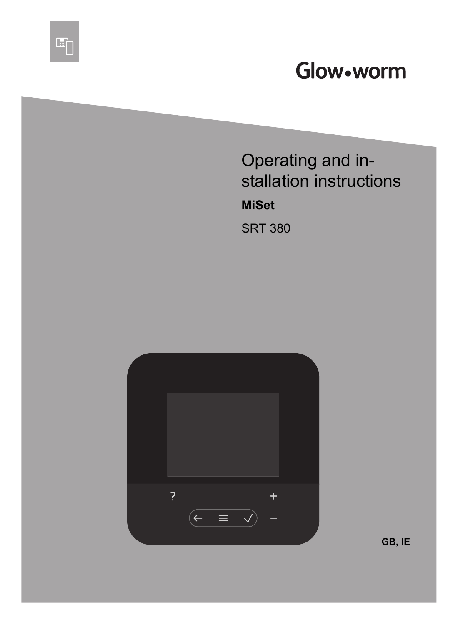# Glow•worm

Operating and installation instructions

**MiSet**

雪

SRT 380

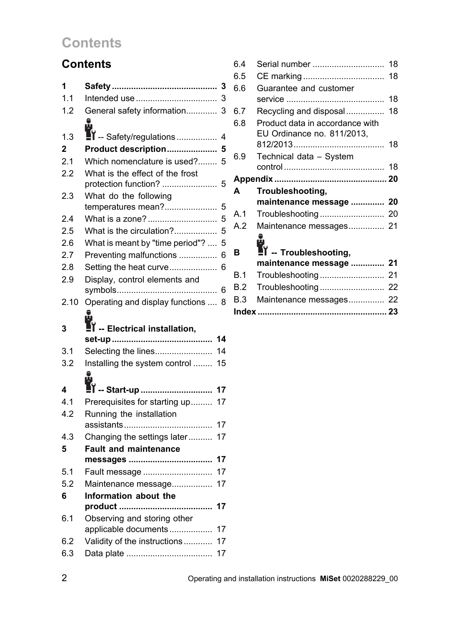# **Contents**

### **Contents**

| 1            | 3                                         |
|--------------|-------------------------------------------|
| 1.1          | 3                                         |
| 1.2          | General safety information<br>3           |
|              | 9                                         |
| 1.3          | $\blacksquare$ -- Safety/regulations<br>4 |
| $\mathbf{2}$ | Product description<br>5                  |
| 2.1          | Which nomenclature is used?<br>5          |
| 2.2          | What is the effect of the frost           |
|              | protection function?<br>5                 |
| 2.3          | What do the following                     |
|              | temperatures mean?<br>5                   |
| 2.4          | What is a zone?<br>5                      |
| 2.5          | What is the circulation?<br>5             |
| 2.6          | What is meant by "time period"?<br>5      |
| 2.7          | Preventing malfunctions<br>6              |
| 2.8          | Setting the heat curve<br>6               |
| 2.9          | Display, control elements and             |
|              | 6                                         |
| 2.10         | Operating and display functions<br>8      |
|              | 6                                         |
|              |                                           |
| 3            | I -- Electrical installation,             |
|              | 14                                        |
| 3.1          | Selecting the lines<br>14                 |
| 3.2          | Installing the system control<br>15       |
|              | ů                                         |
| 4            | 17                                        |
| 4.1          | Prerequisites for starting up<br>17       |
| 4.2          | Running the installation                  |
|              | 17                                        |
| 4.3          | Changing the settings later<br>17         |
| 5            | <b>Fault and maintenance</b>              |
|              | 17                                        |
| 5.1          | 17<br>Fault message                       |
| 5.2          | 17<br>Maintenance message                 |
| 6            | Information about the                     |
|              | 17                                        |
| 6.1          | Observing and storing other               |
|              | 17<br>applicable documents                |
| 6.2<br>6.3   | Validity of the instructions<br>17<br>17  |

| 6.4 | Serial number                                                | 18 |
|-----|--------------------------------------------------------------|----|
| 6.5 |                                                              |    |
| 6.6 | Guarantee and customer                                       |    |
|     |                                                              | 18 |
| 6.7 | Recycling and disposal 18                                    |    |
| 6.8 | Product data in accordance with                              |    |
|     | EU Ordinance no. 811/2013,                                   |    |
|     |                                                              | 18 |
| 6.9 | Technical data - System                                      |    |
|     |                                                              |    |
|     |                                                              |    |
|     |                                                              |    |
| A   | Troubleshooting,                                             |    |
|     | maintenance message  20                                      |    |
| A.1 |                                                              |    |
| A.2 | Maintenance messages 21                                      |    |
|     |                                                              |    |
| B   | ů                                                            |    |
|     | $\mathbf{I}'$ -- Troubleshooting,<br>maintenance message  21 |    |
| B.1 |                                                              |    |
| B.2 | Troubleshooting 22                                           |    |
| B.3 | Maintenance messages 22                                      |    |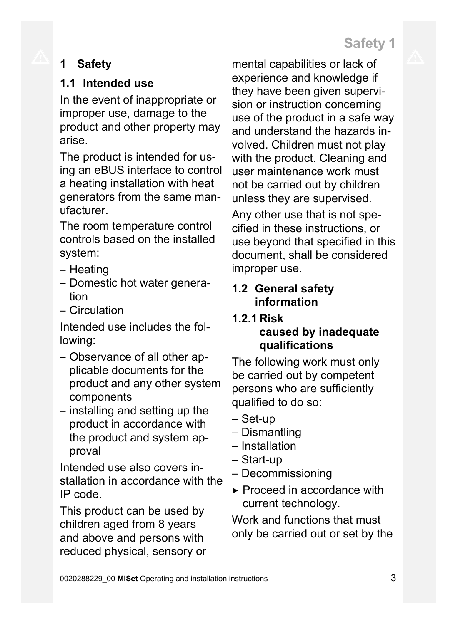# **1 Safety**

# **1.1 Intended use**

In the event of inappropriate or improper use, damage to the product and other property may arise.

The product is intended for using an eBUS interface to control a heating installation with heat generators from the same manufacturer.

The room temperature control controls based on the installed system:

- Heating
- Domestic hot water generation
- Circulation

Intended use includes the following:

- Observance of all other applicable documents for the product and any other system components
- installing and setting up the product in accordance with the product and system approval

Intended use also covers installation in accordance with the IP code.

This product can be used by children aged from 8 years and above and persons with reduced physical, sensory or mental capabilities or lack of experience and knowledge if they have been given supervision or instruction concerning use of the product in a safe way and understand the hazards involved. Children must not play with the product. Cleaning and user maintenance work must not be carried out by children unless they are supervised.

Any other use that is not specified in these instructions, or use beyond that specified in this document, shall be considered improper use.

### **1.2 General safety information**

### **1.2.1 Risk caused by inadequate qualifications**

The following work must only be carried out by competent persons who are sufficiently qualified to do so:

- Set-up
- Dismantling
- Installation
- Start-up
- Decommissioning
- ▶ Proceed in accordance with current technology.

Work and functions that must only be carried out or set by the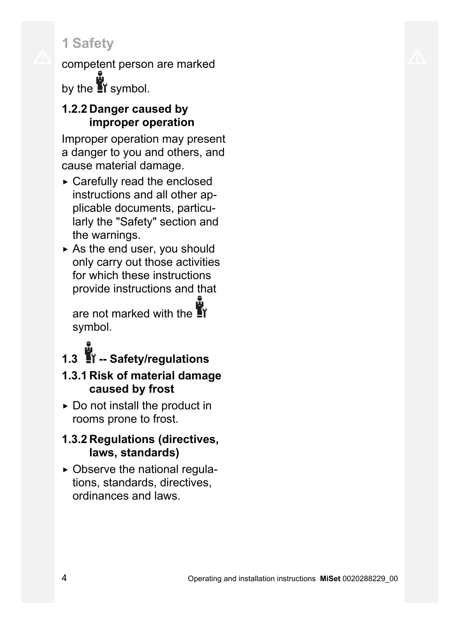competent person are marked by the  $\mathbf{N}$  symbol.

### **1.2.2 Danger caused by improper operation**

Improper operation may present a danger to you and others, and cause material damage.

- ▶ Carefully read the enclosed instructions and all other applicable documents, particularly the "Safety" section and the warnings.
- $\triangleright$  As the end user, you should only carry out those activities for which these instructions provide instructions and that

are not marked with the **T** symbol.

**1.3 -- Safety/regulations**

### **1.3.1 Risk of material damage caused by frost**

 $\triangleright$  Do not install the product in rooms prone to frost.

# **1.3.2 Regulations (directives, laws, standards)**

▶ Observe the national regulations, standards, directives, ordinances and laws.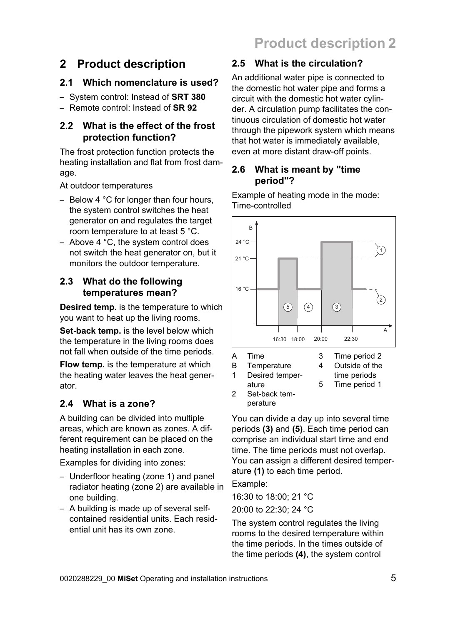# **2 Product description**

### **2.1 Which nomenclature is used?**

- System control: Instead of **SRT 380**
- Remote control: Instead of **SR 92**

#### **2.2 What is the effect of the frost protection function?**

The frost protection function protects the heating installation and flat from frost damage.

At outdoor temperatures

- Below 4 °C for longer than four hours, the system control switches the heat generator on and regulates the target room temperature to at least 5 °C.
- Above 4 °C, the system control does not switch the heat generator on, but it monitors the outdoor temperature.

#### **2.3 What do the following temperatures mean?**

**Desired temp.** is the temperature to which you want to heat up the living rooms.

**Set-back temp.** is the level below which the temperature in the living rooms does not fall when outside of the time periods.

**Flow temp.** is the temperature at which the heating water leaves the heat generator.

### **2.4 What is a zone?**

A building can be divided into multiple areas, which are known as zones. A different requirement can be placed on the heating installation in each zone.

Examples for dividing into zones:

- Underfloor heating (zone 1) and panel radiator heating (zone 2) are available in one building.
- A building is made up of several selfcontained residential units. Each residential unit has its own zone.

# **2.5 What is the circulation?**

An additional water pipe is connected to the domestic hot water pipe and forms a circuit with the domestic hot water cylinder. A circulation pump facilitates the continuous circulation of domestic hot water through the pipework system which means that hot water is immediately available, even at more distant draw-off points.

#### **2.6 What is meant by "time period"?**

Example of heating mode in the mode: Time-controlled



perature You can divide a day up into several time periods **(3)** and **(5)**. Each time period can comprise an individual start time and end time. The time periods must not overlap. You can assign a different desired temper-

ature **(1)** to each time period.

Example:

16:30 to 18:00; 21 °C 20:00 to 22:30; 24 °C

The system control regulates the living rooms to the desired temperature within the time periods. In the times outside of the time periods **(4)**, the system control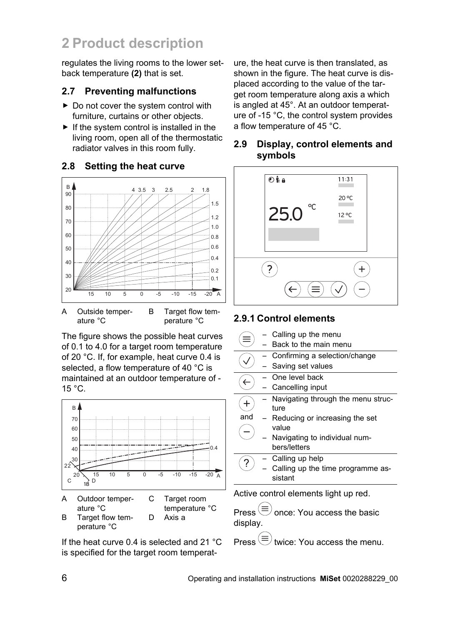regulates the living rooms to the lower setback temperature **(2)** that is set.

#### **2.7 Preventing malfunctions**

- ▶ Do not cover the system control with furniture, curtains or other objects.
- $\blacktriangleright$  If the system control is installed in the living room, open all of the thermostatic radiator valves in this room fully.

#### **2.8 Setting the heat curve**



The figure shows the possible heat curves of 0.1 to 4.0 for a target room temperature of 20 °C. If, for example, heat curve 0.4 is selected, a flow temperature of 40 °C is maintained at an outdoor temperature of -  $15 °C$ .



If the heat curve 0.4 is selected and 21 °C is specified for the target room temperature, the heat curve is then translated, as shown in the figure. The heat curve is displaced according to the value of the target room temperature along axis a which is angled at 45°. At an outdoor temperature of -15 °C, the control system provides a flow temperature of 45 °C.

#### **2.9 Display, control elements and symbols**



#### **2.9.1 Control elements**

|     | Calling up the menu                |
|-----|------------------------------------|
|     | Back to the main menu              |
|     |                                    |
|     | Confirming a selection/change      |
|     | - Saving set values                |
|     | - One level back                   |
|     | - Cancelling input                 |
|     | Navigating through the menu struc- |
|     | ture                               |
| and | - Reducing or increasing the set   |
|     | value                              |
|     | Navigating to individual num-      |
|     | bers/letters                       |
|     | Calling up help                    |
|     | Calling up the time programme as-  |
|     | sistant                            |
|     |                                    |

Active control elements light up red.

Press  $(\equiv)$  once: You access the basic display.

 $P_{\text{re}}(\equiv)$  twice: You access the menu.

perature °C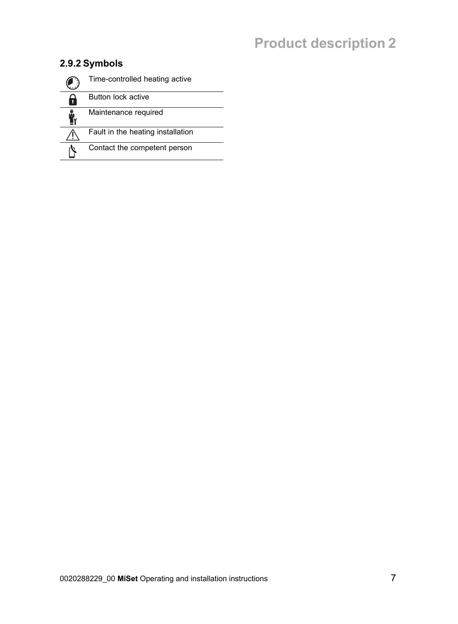### **2.9.2 Symbols**

|   | Time-controlled heating active    |
|---|-----------------------------------|
| n | <b>Button lock active</b>         |
|   | Maintenance required              |
|   | Fault in the heating installation |
|   | Contact the competent person      |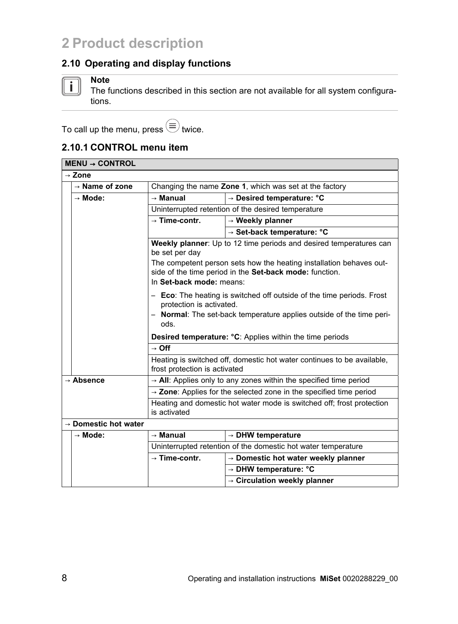#### **2.10 Operating and display functions**



#### **Note**

The functions described in this section are not available for all system configurations.

To call up the menu, press  $\widehat{\equiv}$  twice.

#### **2.10.1 CONTROL menu item**

| $MEM \rightarrow CONTROL$                                                             |                                  |                                                                                |                                                                                                                                |  |
|---------------------------------------------------------------------------------------|----------------------------------|--------------------------------------------------------------------------------|--------------------------------------------------------------------------------------------------------------------------------|--|
| $\rightarrow$ Zone                                                                    |                                  |                                                                                |                                                                                                                                |  |
|                                                                                       | $\rightarrow$ Name of zone       | Changing the name Zone 1, which was set at the factory                         |                                                                                                                                |  |
|                                                                                       | $\rightarrow$ Mode:              | $\rightarrow$ Manual                                                           | $\rightarrow$ Desired temperature: °C                                                                                          |  |
|                                                                                       |                                  | Uninterrupted retention of the desired temperature                             |                                                                                                                                |  |
|                                                                                       |                                  | $\rightarrow$ Time-contr.                                                      | $\rightarrow$ Weekly planner                                                                                                   |  |
|                                                                                       |                                  |                                                                                | $\rightarrow$ Set-back temperature: $^{\circ}$ C                                                                               |  |
|                                                                                       |                                  | be set per day                                                                 | Weekly planner: Up to 12 time periods and desired temperatures can                                                             |  |
|                                                                                       |                                  | In Set-back mode: means:                                                       | The competent person sets how the heating installation behaves out-<br>side of the time period in the Set-back mode: function. |  |
|                                                                                       |                                  | protection is activated.                                                       | - Eco: The heating is switched off outside of the time periods. Frost                                                          |  |
|                                                                                       |                                  | ods.                                                                           | - Normal: The set-back temperature applies outside of the time peri-                                                           |  |
|                                                                                       |                                  |                                                                                | <b>Desired temperature: °C:</b> Applies within the time periods                                                                |  |
|                                                                                       |                                  | $\rightarrow$ Off                                                              |                                                                                                                                |  |
|                                                                                       |                                  | frost protection is activated                                                  | Heating is switched off, domestic hot water continues to be available,                                                         |  |
|                                                                                       | $\rightarrow$ Absence            |                                                                                | $\rightarrow$ AII: Applies only to any zones within the specified time period                                                  |  |
|                                                                                       |                                  | $\rightarrow$ Zone: Applies for the selected zone in the specified time period |                                                                                                                                |  |
| Heating and domestic hot water mode is switched off; frost protection<br>is activated |                                  |                                                                                |                                                                                                                                |  |
|                                                                                       | $\rightarrow$ Domestic hot water |                                                                                |                                                                                                                                |  |
|                                                                                       | $\rightarrow$ Mode:              | $\rightarrow$ Manual                                                           | $\rightarrow$ DHW temperature                                                                                                  |  |
|                                                                                       |                                  |                                                                                | Uninterrupted retention of the domestic hot water temperature                                                                  |  |
|                                                                                       |                                  | $\rightarrow$ Time-contr.                                                      | $\rightarrow$ Domestic hot water weekly planner                                                                                |  |
|                                                                                       |                                  |                                                                                | $\rightarrow$ DHW temperature: $^{\circ}$ C                                                                                    |  |
|                                                                                       |                                  |                                                                                | $\rightarrow$ Circulation weekly planner                                                                                       |  |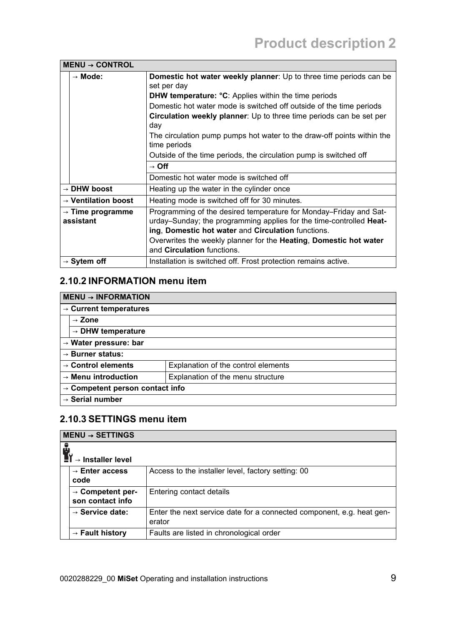| $MEM \rightarrow CONTROL$                 |                                                                                                                                                                                                |
|-------------------------------------------|------------------------------------------------------------------------------------------------------------------------------------------------------------------------------------------------|
| $\rightarrow$ Mode:                       | Domestic hot water weekly planner: Up to three time periods can be<br>set per day                                                                                                              |
|                                           | <b>DHW temperature: °C:</b> Applies within the time periods                                                                                                                                    |
|                                           | Domestic hot water mode is switched off outside of the time periods                                                                                                                            |
|                                           | <b>Circulation weekly planner</b> . Up to three time periods can be set per<br>day                                                                                                             |
|                                           | The circulation pump pumps hot water to the draw-off points within the<br>time periods                                                                                                         |
|                                           | Outside of the time periods, the circulation pump is switched off                                                                                                                              |
|                                           | $\rightarrow$ Off                                                                                                                                                                              |
|                                           | Domestic hot water mode is switched off                                                                                                                                                        |
| $\rightarrow$ DHW boost                   | Heating up the water in the cylinder once                                                                                                                                                      |
| $\rightarrow$ Ventilation boost           | Heating mode is switched off for 30 minutes.                                                                                                                                                   |
| $\rightarrow$ Time programme<br>assistant | Programming of the desired temperature for Monday–Friday and Sat-<br>urday–Sunday; the programming applies for the time-controlled Heat-<br>ing, Domestic hot water and Circulation functions. |
|                                           | Overwrites the weekly planner for the Heating, Domestic hot water<br>and Circulation functions.                                                                                                |
| $\rightarrow$ Sytem off                   |                                                                                                                                                                                                |

#### **2.10.2 INFORMATION menu item**

#### **MENU** → **INFORMATION**

| $\rightarrow$ Current temperatures                                   |                                     |  |  |
|----------------------------------------------------------------------|-------------------------------------|--|--|
| $\rightarrow$ Zone                                                   |                                     |  |  |
| $\rightarrow$ DHW temperature                                        |                                     |  |  |
| $\rightarrow$ Water pressure: bar                                    |                                     |  |  |
| $\rightarrow$ Burner status:                                         |                                     |  |  |
| $\rightarrow$ Control elements                                       | Explanation of the control elements |  |  |
| Explanation of the menu structure<br>$\rightarrow$ Menu introduction |                                     |  |  |
| $\rightarrow$ Competent person contact info                          |                                     |  |  |
| $\rightarrow$ Serial number                                          |                                     |  |  |

#### **2.10.3 SETTINGS menu item**

| $MENT \rightarrow SETTINGS$                      |                                                                                 |
|--------------------------------------------------|---------------------------------------------------------------------------------|
| $\rightarrow$ Installer level                    |                                                                                 |
| $\rightarrow$ Enter access<br>code               | Access to the installer level, factory setting: 00                              |
| $\rightarrow$ Competent per-<br>son contact info | Entering contact details                                                        |
| $\rightarrow$ Service date:                      | Enter the next service date for a connected component, e.g. heat gen-<br>erator |
| $\rightarrow$ Fault history                      | Faults are listed in chronological order                                        |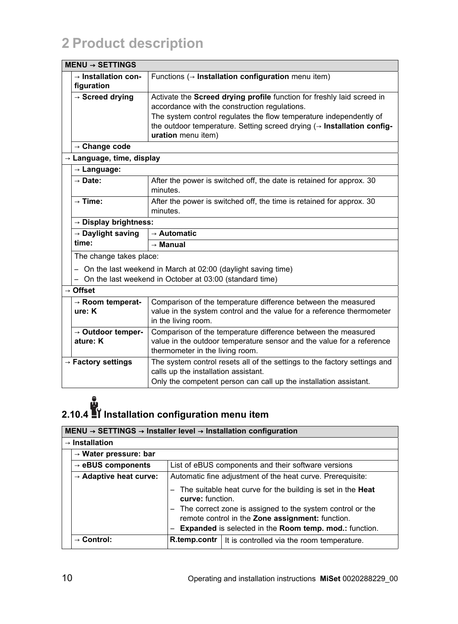| $MEM \rightarrow SETTINGS$                               |                                                                                                                                                                       |  |
|----------------------------------------------------------|-----------------------------------------------------------------------------------------------------------------------------------------------------------------------|--|
| $\rightarrow$ Installation con-<br>figuration            | Functions ( $\rightarrow$ Installation configuration menu item)                                                                                                       |  |
| $\rightarrow$ Screed drying                              | Activate the Screed drying profile function for freshly laid screed in<br>accordance with the construction regulations.                                               |  |
|                                                          | The system control regulates the flow temperature independently of<br>the outdoor temperature. Setting screed drying $($ - Installation config-<br>uration menu item) |  |
| $\rightarrow$ Change code                                |                                                                                                                                                                       |  |
| $\rightarrow$ Language, time, display                    |                                                                                                                                                                       |  |
| $\rightarrow$ Language:                                  |                                                                                                                                                                       |  |
| $\rightarrow$ Date:                                      | After the power is switched off, the date is retained for approx. 30<br>minutes.                                                                                      |  |
| $\rightarrow$ Time:                                      | After the power is switched off, the time is retained for approx. 30<br>minutes.                                                                                      |  |
| $\rightarrow$ Display brightness:                        |                                                                                                                                                                       |  |
| $\rightarrow$ Automatic<br>$\rightarrow$ Daylight saving |                                                                                                                                                                       |  |
| time:                                                    | $\rightarrow$ Manual                                                                                                                                                  |  |
| The change takes place:                                  |                                                                                                                                                                       |  |
|                                                          | - On the last weekend in March at 02:00 (daylight saving time)                                                                                                        |  |
|                                                          | On the last weekend in October at 03:00 (standard time)                                                                                                               |  |
| $\rightarrow$ Offset                                     |                                                                                                                                                                       |  |
| $\rightarrow$ Room temperat-                             | Comparison of the temperature difference between the measured                                                                                                         |  |
| ure: K                                                   | value in the system control and the value for a reference thermometer<br>in the living room.                                                                          |  |
| $\rightarrow$ Outdoor temper-                            | Comparison of the temperature difference between the measured                                                                                                         |  |
| ature: K                                                 | value in the outdoor temperature sensor and the value for a reference<br>thermometer in the living room.                                                              |  |
| $\rightarrow$ Factory settings                           | The system control resets all of the settings to the factory settings and<br>calls up the installation assistant.                                                     |  |
|                                                          | Only the competent person can call up the installation assistant.                                                                                                     |  |

# **2.10.4 Installation configuration menu item**

| $MEMU \rightarrow SETTINGS \rightarrow Instanter level \rightarrow Instantation$ configuration |                                                                                                                                                                                                                                                                                                                                        |                                                                  |
|------------------------------------------------------------------------------------------------|----------------------------------------------------------------------------------------------------------------------------------------------------------------------------------------------------------------------------------------------------------------------------------------------------------------------------------------|------------------------------------------------------------------|
| $\rightarrow$ Installation                                                                     |                                                                                                                                                                                                                                                                                                                                        |                                                                  |
| $\rightarrow$ Water pressure: bar                                                              |                                                                                                                                                                                                                                                                                                                                        |                                                                  |
| $\rightarrow$ eBUS components                                                                  |                                                                                                                                                                                                                                                                                                                                        | List of eBUS components and their software versions              |
| $\rightarrow$ Adaptive heat curve:                                                             | Automatic fine adjustment of the heat curve. Prerequisite:<br>The suitable heat curve for the building is set in the <b>Heat</b><br>curve: function.<br>The correct zone is assigned to the system control or the<br>remote control in the Zone assignment: function.<br><b>Expanded</b> is selected in the Room temp. mod.: function. |                                                                  |
| $\rightarrow$ Control:                                                                         |                                                                                                                                                                                                                                                                                                                                        | <b>R.temp.contr</b>   It is controlled via the room temperature. |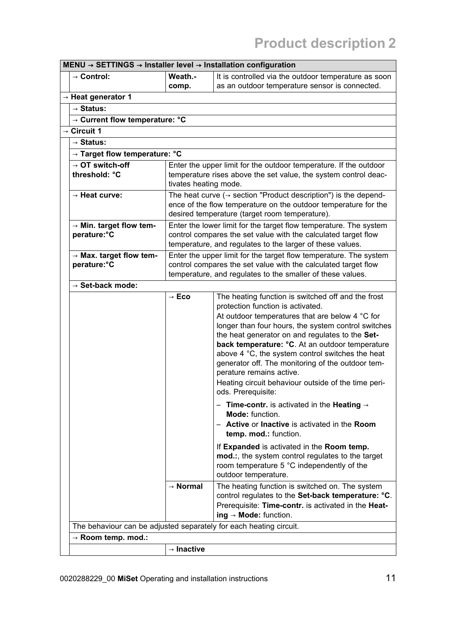| MENU → SETTINGS → Installer level → Installation configuration     |                                                                                                                                                                                                   |                                                                                                                                                                                                                                                                                                                                                                                                                                                                                                                                                                                                                                                                                                                                                                                                                                                           |
|--------------------------------------------------------------------|---------------------------------------------------------------------------------------------------------------------------------------------------------------------------------------------------|-----------------------------------------------------------------------------------------------------------------------------------------------------------------------------------------------------------------------------------------------------------------------------------------------------------------------------------------------------------------------------------------------------------------------------------------------------------------------------------------------------------------------------------------------------------------------------------------------------------------------------------------------------------------------------------------------------------------------------------------------------------------------------------------------------------------------------------------------------------|
| $\rightarrow$ Control:                                             | Weath -                                                                                                                                                                                           | It is controlled via the outdoor temperature as soon                                                                                                                                                                                                                                                                                                                                                                                                                                                                                                                                                                                                                                                                                                                                                                                                      |
|                                                                    | comp.                                                                                                                                                                                             | as an outdoor temperature sensor is connected.                                                                                                                                                                                                                                                                                                                                                                                                                                                                                                                                                                                                                                                                                                                                                                                                            |
| $\rightarrow$ Heat generator 1                                     |                                                                                                                                                                                                   |                                                                                                                                                                                                                                                                                                                                                                                                                                                                                                                                                                                                                                                                                                                                                                                                                                                           |
| $\rightarrow$ Status:                                              |                                                                                                                                                                                                   |                                                                                                                                                                                                                                                                                                                                                                                                                                                                                                                                                                                                                                                                                                                                                                                                                                                           |
| → Current flow temperature: °C                                     |                                                                                                                                                                                                   |                                                                                                                                                                                                                                                                                                                                                                                                                                                                                                                                                                                                                                                                                                                                                                                                                                                           |
| $\rightarrow$ Circuit 1                                            |                                                                                                                                                                                                   |                                                                                                                                                                                                                                                                                                                                                                                                                                                                                                                                                                                                                                                                                                                                                                                                                                                           |
| $\rightarrow$ Status:                                              |                                                                                                                                                                                                   |                                                                                                                                                                                                                                                                                                                                                                                                                                                                                                                                                                                                                                                                                                                                                                                                                                                           |
| $\rightarrow$ Target flow temperature: $^{\circ}$ C                |                                                                                                                                                                                                   |                                                                                                                                                                                                                                                                                                                                                                                                                                                                                                                                                                                                                                                                                                                                                                                                                                                           |
| $\rightarrow$ OT switch-off<br>threshold: °C                       | tivates heating mode.                                                                                                                                                                             | Enter the upper limit for the outdoor temperature. If the outdoor<br>temperature rises above the set value, the system control deac-                                                                                                                                                                                                                                                                                                                                                                                                                                                                                                                                                                                                                                                                                                                      |
| → Heat curve:                                                      |                                                                                                                                                                                                   | The heat curve ( $\rightarrow$ section "Product description") is the depend-<br>ence of the flow temperature on the outdoor temperature for the<br>desired temperature (target room temperature).                                                                                                                                                                                                                                                                                                                                                                                                                                                                                                                                                                                                                                                         |
| $\rightarrow$ Min. target flow tem-<br>perature: °C                |                                                                                                                                                                                                   | Enter the lower limit for the target flow temperature. The system<br>control compares the set value with the calculated target flow<br>temperature, and regulates to the larger of these values.                                                                                                                                                                                                                                                                                                                                                                                                                                                                                                                                                                                                                                                          |
| $\rightarrow$ Max. target flow tem-<br>perature: °C                | Enter the upper limit for the target flow temperature. The system<br>control compares the set value with the calculated target flow<br>temperature, and regulates to the smaller of these values. |                                                                                                                                                                                                                                                                                                                                                                                                                                                                                                                                                                                                                                                                                                                                                                                                                                                           |
| $\rightarrow$ Set-back mode:                                       |                                                                                                                                                                                                   |                                                                                                                                                                                                                                                                                                                                                                                                                                                                                                                                                                                                                                                                                                                                                                                                                                                           |
|                                                                    | $\rightarrow$ Eco                                                                                                                                                                                 | The heating function is switched off and the frost<br>protection function is activated.<br>At outdoor temperatures that are below 4 °C for<br>longer than four hours, the system control switches<br>the heat generator on and regulates to the Set-<br>back temperature: °C. At an outdoor temperature<br>above 4 °C, the system control switches the heat<br>generator off. The monitoring of the outdoor tem-<br>perature remains active.<br>Heating circuit behaviour outside of the time peri-<br>ods. Prerequisite:<br>- Time-contr. is activated in the Heating $\rightarrow$<br>Mode: function<br>- Active or Inactive is activated in the Room<br>temp. mod.: function.<br>If Expanded is activated in the Room temp.<br>mod.:, the system control regulates to the target<br>room temperature 5 °C independently of the<br>outdoor temperature. |
|                                                                    | $\rightarrow$ Normal                                                                                                                                                                              | The heating function is switched on. The system<br>control regulates to the Set-back temperature: °C.<br>Prerequisite: Time-contr. is activated in the Heat-<br>$ing \rightarrow Mode$ : function.                                                                                                                                                                                                                                                                                                                                                                                                                                                                                                                                                                                                                                                        |
| The behaviour can be adjusted separately for each heating circuit. |                                                                                                                                                                                                   |                                                                                                                                                                                                                                                                                                                                                                                                                                                                                                                                                                                                                                                                                                                                                                                                                                                           |
| $\rightarrow$ Room temp. mod.:                                     |                                                                                                                                                                                                   |                                                                                                                                                                                                                                                                                                                                                                                                                                                                                                                                                                                                                                                                                                                                                                                                                                                           |
|                                                                    | $\rightarrow$ Inactive                                                                                                                                                                            |                                                                                                                                                                                                                                                                                                                                                                                                                                                                                                                                                                                                                                                                                                                                                                                                                                                           |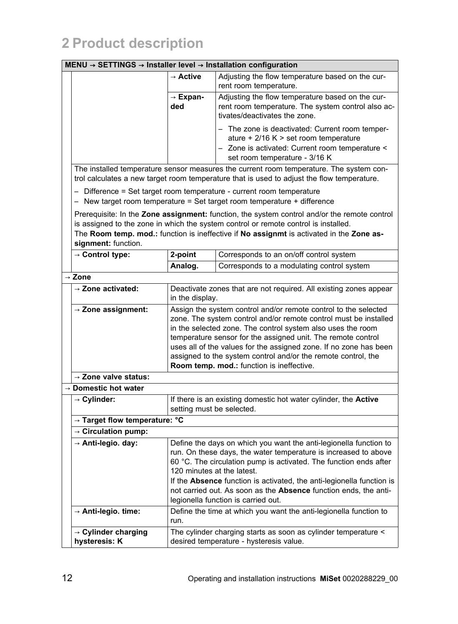#### **MENU** → **SETTINGS** → **Installer level** → **Installation configuration**

|                                                  | 71 IVVVI → 111J            | anauvn vviingarauvn                                                                                                                                                                                                                                                                                                                                                                                                                                   |
|--------------------------------------------------|----------------------------|-------------------------------------------------------------------------------------------------------------------------------------------------------------------------------------------------------------------------------------------------------------------------------------------------------------------------------------------------------------------------------------------------------------------------------------------------------|
|                                                  | → Active                   | Adjusting the flow temperature based on the cur-<br>rent room temperature.                                                                                                                                                                                                                                                                                                                                                                            |
|                                                  | → Expan-<br>ded            | Adjusting the flow temperature based on the cur-<br>rent room temperature. The system control also ac-<br>tivates/deactivates the zone.                                                                                                                                                                                                                                                                                                               |
|                                                  |                            | The zone is deactivated: Current room temper-<br>ature $+2/16$ K > set room temperature<br>- Zone is activated: Current room temperature <<br>set room temperature - 3/16 K                                                                                                                                                                                                                                                                           |
|                                                  |                            | The installed temperature sensor measures the current room temperature. The system con-<br>trol calculates a new target room temperature that is used to adjust the flow temperature.                                                                                                                                                                                                                                                                 |
|                                                  |                            | - Difference = Set target room temperature - current room temperature<br>$-$ New target room temperature = Set target room temperature + difference                                                                                                                                                                                                                                                                                                   |
| signment: function.                              |                            | Prerequisite: In the <b>Zone assignment:</b> function, the system control and/or the remote control<br>is assigned to the zone in which the system control or remote control is installed.<br>The Room temp. mod.: function is ineffective if No assignmt is activated in the Zone as-                                                                                                                                                                |
| $\rightarrow$ Control type:                      | 2-point                    | Corresponds to an on/off control system                                                                                                                                                                                                                                                                                                                                                                                                               |
|                                                  | Analog.                    | Corresponds to a modulating control system                                                                                                                                                                                                                                                                                                                                                                                                            |
| Zone                                             |                            |                                                                                                                                                                                                                                                                                                                                                                                                                                                       |
| $\rightarrow$ Zone activated:                    | in the display.            | Deactivate zones that are not required. All existing zones appear                                                                                                                                                                                                                                                                                                                                                                                     |
| $\rightarrow$ Zone assignment:                   |                            | Assign the system control and/or remote control to the selected<br>zone. The system control and/or remote control must be installed<br>in the selected zone. The control system also uses the room<br>temperature sensor for the assigned unit. The remote control<br>uses all of the values for the assigned zone. If no zone has been<br>assigned to the system control and/or the remote control, the<br>Room temp. mod.: function is ineffective. |
| $\rightarrow$ Zone valve status:                 |                            |                                                                                                                                                                                                                                                                                                                                                                                                                                                       |
| $\rightarrow$ Domestic hot water                 |                            |                                                                                                                                                                                                                                                                                                                                                                                                                                                       |
| $\rightarrow$ Cylinder:                          | setting must be selected.  | If there is an existing domestic hot water cylinder, the <b>Active</b>                                                                                                                                                                                                                                                                                                                                                                                |
| → Target flow temperature: °C                    |                            |                                                                                                                                                                                                                                                                                                                                                                                                                                                       |
| $\rightarrow$ Circulation pump:                  |                            |                                                                                                                                                                                                                                                                                                                                                                                                                                                       |
| $\rightarrow$ Anti-legio. day:                   | 120 minutes at the latest. | Define the days on which you want the anti-legionella function to<br>run. On these days, the water temperature is increased to above<br>60 °C. The circulation pump is activated. The function ends after<br>If the <b>Absence</b> function is activated, the anti-legionella function is<br>not carried out. As soon as the Absence function ends, the anti-<br>legionella function is carried out.                                                  |
| $\rightarrow$ Anti-legio. time:                  | run.                       | Define the time at which you want the anti-legionella function to                                                                                                                                                                                                                                                                                                                                                                                     |
| $\rightarrow$ Cylinder charging<br>hysteresis: K |                            | The cylinder charging starts as soon as cylinder temperature <<br>desired temperature - hysteresis value.                                                                                                                                                                                                                                                                                                                                             |

┑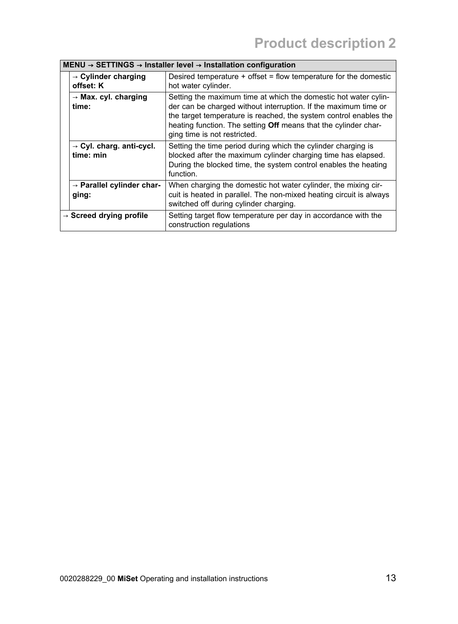|                                     | $MEM \rightarrow SETTINGS \rightarrow Instanter level \rightarrow Instantation$ configuration |                                                                                                                                                                                                                                                                                                            |  |
|-------------------------------------|-----------------------------------------------------------------------------------------------|------------------------------------------------------------------------------------------------------------------------------------------------------------------------------------------------------------------------------------------------------------------------------------------------------------|--|
|                                     | $\rightarrow$ Cylinder charging<br>offset: K                                                  | Desired temperature $+$ offset = flow temperature for the domestic<br>hot water cylinder.                                                                                                                                                                                                                  |  |
|                                     | $\rightarrow$ Max. cyl. charging<br>time:                                                     | Setting the maximum time at which the domestic hot water cylin-<br>der can be charged without interruption. If the maximum time or<br>the target temperature is reached, the system control enables the<br>heating function. The setting Off means that the cylinder char-<br>ging time is not restricted. |  |
|                                     | $\rightarrow$ Cyl. charg. anti-cycl.<br>time: min                                             | Setting the time period during which the cylinder charging is<br>blocked after the maximum cylinder charging time has elapsed.<br>During the blocked time, the system control enables the heating<br>function                                                                                              |  |
|                                     | $\rightarrow$ Parallel cylinder char-<br>ging:                                                | When charging the domestic hot water cylinder, the mixing cir-<br>cuit is heated in parallel. The non-mixed heating circuit is always<br>switched off during cylinder charging.                                                                                                                            |  |
| $\rightarrow$ Screed drying profile |                                                                                               | Setting target flow temperature per day in accordance with the<br>construction regulations                                                                                                                                                                                                                 |  |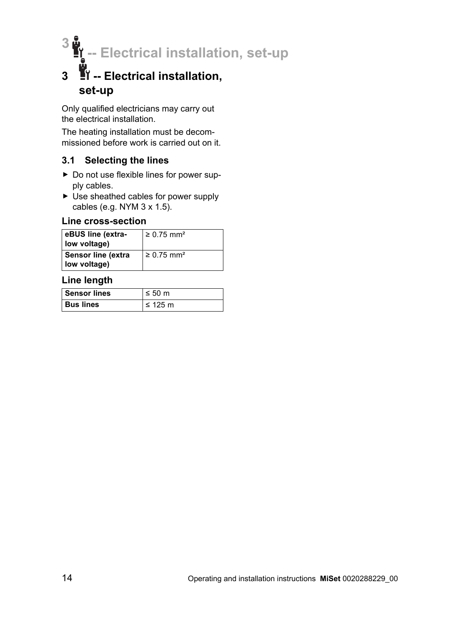**3 -- Electrical installation, set-up**

# **3 -- Electrical installation, set-up**

Only qualified electricians may carry out the electrical installation.

The heating installation must be decommissioned before work is carried out on it.

#### **3.1 Selecting the lines**

- ▶ Do not use flexible lines for power supply cables.
- ▶ Use sheathed cables for power supply cables (e.g. NYM 3 x 1.5).

#### **Line cross-section**

| eBUS line (extra-<br>low voltage)  | $\geq$ 0.75 mm <sup>2</sup> |
|------------------------------------|-----------------------------|
| Sensor line (extra<br>low voltage) | $\geq 0.75$ mm <sup>2</sup> |

#### **Line length**

| <b>Sensor lines</b> | $\leq 50$ m  |
|---------------------|--------------|
| <b>Bus lines</b>    | $\leq$ 125 m |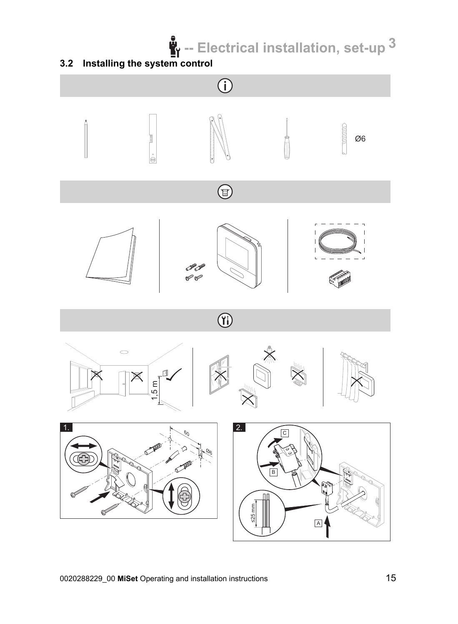**-- Electrical installation, set-up 3**

#### **3.2 Installing the system control**

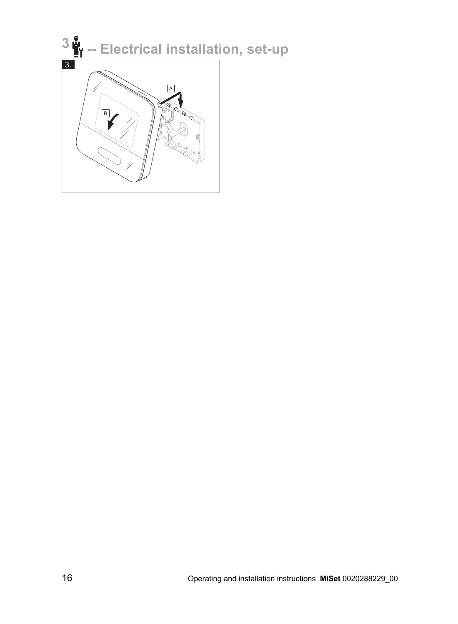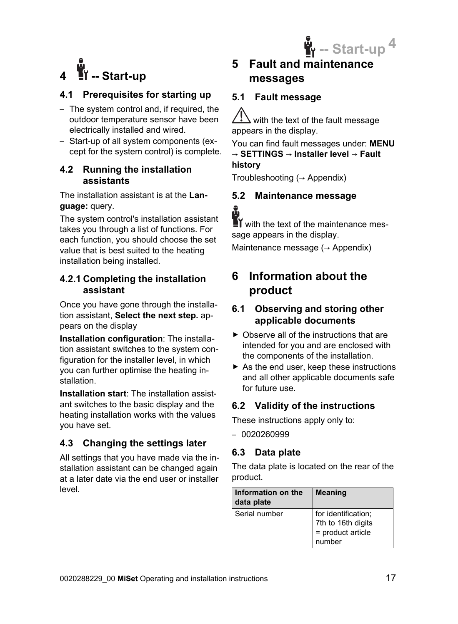



#### **4.1 Prerequisites for starting up**

- The system control and, if required, the outdoor temperature sensor have been electrically installed and wired.
- Start-up of all system components (except for the system control) is complete.

#### **4.2 Running the installation assistants**

The installation assistant is at the **Language:** query.

The system control's installation assistant takes you through a list of functions. For each function, you should choose the set value that is best suited to the heating installation being installed.

#### **4.2.1 Completing the installation assistant**

Once you have gone through the installation assistant, **Select the next step.** appears on the display

**Installation configuration**: The installation assistant switches to the system configuration for the installer level, in which you can further optimise the heating installation.

**Installation start**: The installation assistant switches to the basic display and the heating installation works with the values you have set.

#### **4.3 Changing the settings later**

All settings that you have made via the installation assistant can be changed again at a later date via the end user or installer level.

**5 Fault and maintenance messages**

#### **5.1 Fault message**

 $\sqrt{\frac{1}{1}}$  with the text of the fault message appears in the display.

You can find fault messages under: **MENU** → **SETTINGS** → **Installer level** → **Fault history**

Troubleshooting  $(\rightarrow$  Appendix)

### **5.2 Maintenance message**

 $\blacksquare$  with the text of the maintenance message appears in the display.

Maintenance message ( $\rightarrow$  Appendix)

### **6 Information about the product**

#### **6.1 Observing and storing other applicable documents**

- ▶ Observe all of the instructions that are intended for you and are enclosed with the components of the installation.
- $\blacktriangleright$  As the end user, keep these instructions and all other applicable documents safe for future use.

#### **6.2 Validity of the instructions**

These instructions apply only to:

– 0020260999

#### **6.3 Data plate**

The data plate is located on the rear of the product.

| Information on the<br>data plate | <b>Meaning</b>                                                           |
|----------------------------------|--------------------------------------------------------------------------|
| Serial number                    | for identification;<br>7th to 16th digits<br>= product article<br>number |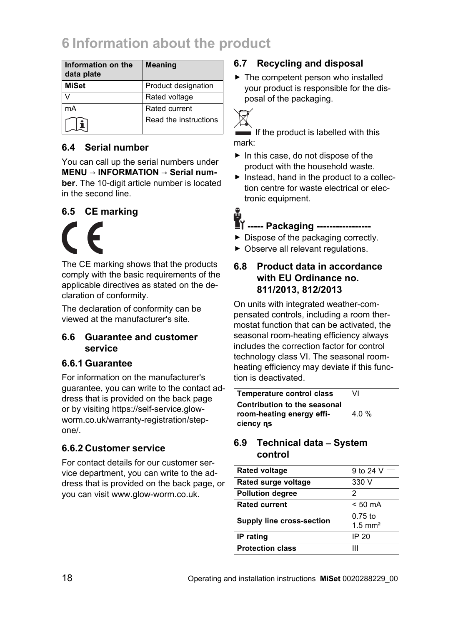# **6 Information about the product**

| Information on the<br>data plate | <b>Meaning</b>        |
|----------------------------------|-----------------------|
| <b>MiSet</b>                     | Product designation   |
|                                  | Rated voltage         |
| mA                               | Rated current         |
|                                  | Read the instructions |

#### **6.4 Serial number**

You can call up the serial numbers under **MENU** → **INFORMATION** → **Serial number**. The 10-digit article number is located in the second line.

#### **6.5 CE marking**

The CE marking shows that the products comply with the basic requirements of the applicable directives as stated on the declaration of conformity.

The declaration of conformity can be viewed at the manufacturer's site.

#### **6.6 Guarantee and customer service**

#### **6.6.1 Guarantee**

For information on the manufacturer's guarantee, you can write to the contact address that is provided on the back page or by visiting https://self-service.glowworm.co.uk/warranty-registration/stepone/.

#### **6.6.2 Customer service**

For contact details for our customer service department, you can write to the address that is provided on the back page, or you can visit www.glow-worm.co.uk.

#### **6.7 Recycling and disposal**

▶ The competent person who installed your product is responsible for the disposal of the packaging.



If the product is labelled with this mark:

- ▶ In this case, do not dispose of the product with the household waste.
- ▶ Instead, hand in the product to a collection centre for waste electrical or electronic equipment.

**----- Packaging -----------------**

- ▶ Dispose of the packaging correctly.
- ▶ Observe all relevant regulations.

#### **6.8 Product data in accordance with EU Ordinance no. 811/2013, 812/2013**

On units with integrated weather-compensated controls, including a room thermostat function that can be activated, the seasonal room-heating efficiency always includes the correction factor for control technology class VI. The seasonal roomheating efficiency may deviate if this function is deactivated.

| Temperature control class                                                     | VI    |
|-------------------------------------------------------------------------------|-------|
| <b>Contribution to the seasonal</b><br>room-heating energy effi-<br>ciency ns | 4.0 % |

#### **6.9 Technical data** – **System control**

| <b>Rated voltage</b>      | 9 to 24 $V =$         |
|---------------------------|-----------------------|
| Rated surge voltage       | 330 V                 |
| <b>Pollution degree</b>   | 2                     |
| <b>Rated current</b>      | $< 50$ mA             |
| Supply line cross-section | $0.75$ to             |
|                           | $1.5$ mm <sup>2</sup> |
| IP rating                 | IP 20                 |
| <b>Protection class</b>   | Ш                     |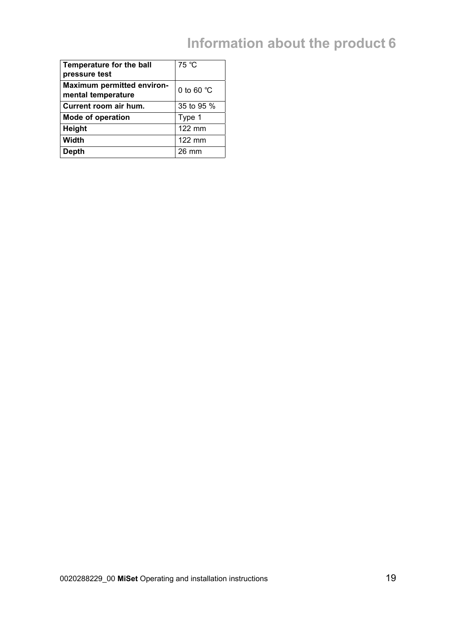# **Information about the product 6**

| Temperature for the ball<br>pressure test               | 75 °C                |
|---------------------------------------------------------|----------------------|
| <b>Maximum permitted environ-</b><br>mental temperature | 0 to 60 $^{\circ}$ C |
| Current room air hum.                                   | 35 to 95 %           |
| Mode of operation                                       | Type 1               |
| Height                                                  | $122$ mm             |
| Width                                                   | 122 mm               |
| Depth                                                   | 26 mm                |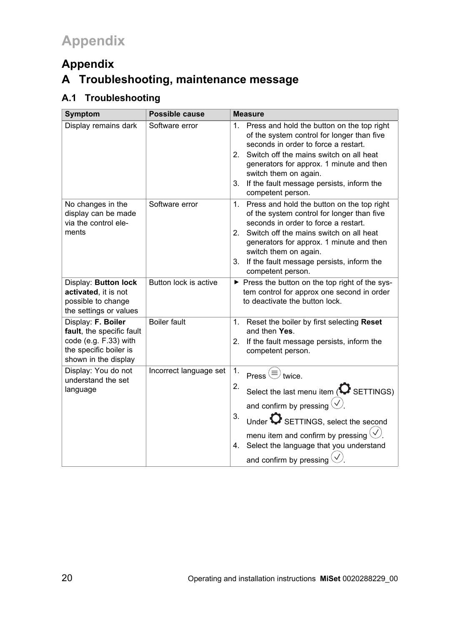### **Appendix A Troubleshooting, maintenance message**

### **A.1 Troubleshooting**

| Symptom                                                                                                                    | Possible cause         | <b>Measure</b>                                                                                                                                                                                                                                                                                                                                   |
|----------------------------------------------------------------------------------------------------------------------------|------------------------|--------------------------------------------------------------------------------------------------------------------------------------------------------------------------------------------------------------------------------------------------------------------------------------------------------------------------------------------------|
| Display remains dark                                                                                                       | Software error         | 1. Press and hold the button on the top right<br>of the system control for longer than five<br>seconds in order to force a restart.<br>Switch off the mains switch on all heat<br>2.<br>generators for approx. 1 minute and then<br>switch them on again.<br>If the fault message persists, inform the<br>3.<br>competent person.                |
| No changes in the<br>display can be made<br>via the control ele-<br>ments                                                  | Software error         | Press and hold the button on the top right<br>1.<br>of the system control for longer than five<br>seconds in order to force a restart.<br>Switch off the mains switch on all heat<br>2 <sup>1</sup><br>generators for approx. 1 minute and then<br>switch them on again.<br>If the fault message persists, inform the<br>3.<br>competent person. |
| Display: Button lock<br>activated, it is not<br>possible to change<br>the settings or values                               | Button lock is active  | ► Press the button on the top right of the sys-<br>tem control for approx one second in order<br>to deactivate the button lock.                                                                                                                                                                                                                  |
| Display: F. Boiler<br>fault, the specific fault<br>code (e.g. F.33) with<br>the specific boiler is<br>shown in the display | <b>Boiler fault</b>    | 1.<br>Reset the boiler by first selecting Reset<br>and then Yes.<br>If the fault message persists, inform the<br>2.<br>competent person.                                                                                                                                                                                                         |
| Display: You do not<br>understand the set<br>language                                                                      | Incorrect language set | 1.<br>Press $\circled{\equiv}$ twice.<br>2.<br>Select the last menu item ( $\bullet$ SETTINGS)<br>and confirm by pressing $\circledcirc$ .<br>3.<br>Under $\bigcirc$ SETTINGS, select the second<br>menu item and confirm by pressing $\vee$ .<br>Select the language that you understand<br>4.<br>and confirm by pressing $\Diamond$ .          |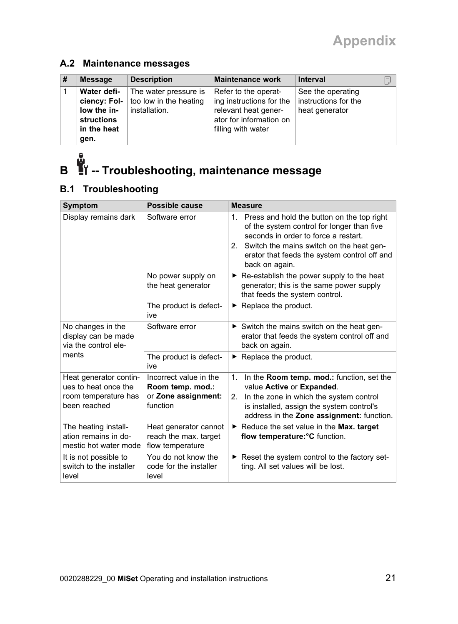#### **A.2 Maintenance messages**

| # | <b>Message</b>    | <b>Description</b>                          | <b>Maintenance work</b>  | <b>Interval</b>      | b |
|---|-------------------|---------------------------------------------|--------------------------|----------------------|---|
|   | Water defi-       | The water pressure is                       | Refer to the operat-     | See the operating    |   |
|   |                   | ciency: Fol- $\vert$ too low in the heating | ing instructions for the | instructions for the |   |
|   | low the in-       | installation.                               | relevant heat gener-     | heat generator       |   |
|   | <b>structions</b> |                                             | ator for information on  |                      |   |
|   | in the heat       |                                             | filling with water       |                      |   |
|   | gen.              |                                             |                          |                      |   |

# **B -- Troubleshooting, maintenance message**

#### **B.1 Troubleshooting**

| Symptom                                                                                | Possible cause                                                                | <b>Measure</b>                                                                                                                                                                                                                                       |
|----------------------------------------------------------------------------------------|-------------------------------------------------------------------------------|------------------------------------------------------------------------------------------------------------------------------------------------------------------------------------------------------------------------------------------------------|
| Display remains dark                                                                   | Software error                                                                | 1. Press and hold the button on the top right<br>of the system control for longer than five<br>seconds in order to force a restart.<br>2. Switch the mains switch on the heat gen-<br>erator that feeds the system control off and<br>back on again. |
|                                                                                        | No power supply on<br>the heat generator                                      | $\triangleright$ Re-establish the power supply to the heat<br>generator; this is the same power supply<br>that feeds the system control.                                                                                                             |
|                                                                                        | The product is defect-<br>ive                                                 | $\blacktriangleright$ Replace the product.                                                                                                                                                                                                           |
| No changes in the<br>display can be made<br>via the control ele-                       | Software error                                                                | Switch the mains switch on the heat gen-<br>erator that feeds the system control off and<br>back on again.                                                                                                                                           |
| ments                                                                                  | The product is defect-<br>ive                                                 | $\blacktriangleright$ Replace the product.                                                                                                                                                                                                           |
| Heat generator contin-<br>ues to heat once the<br>room temperature has<br>been reached | Incorrect value in the<br>Room temp. mod.:<br>or Zone assignment:<br>function | In the <b>Room temp. mod.:</b> function, set the<br>1.<br>value Active or Expanded.<br>In the zone in which the system control<br>2.<br>is installed, assign the system control's<br>address in the Zone assignment: function.                       |
| The heating install-<br>ation remains in do-<br>mestic hot water mode                  | Heat generator cannot<br>reach the max. target<br>flow temperature            | Reduce the set value in the Max. target<br>▶.<br>flow temperature: °C function.                                                                                                                                                                      |
| It is not possible to<br>switch to the installer<br>level                              | You do not know the<br>code for the installer<br>level                        | Reset the system control to the factory set-<br>ting. All set values will be lost.                                                                                                                                                                   |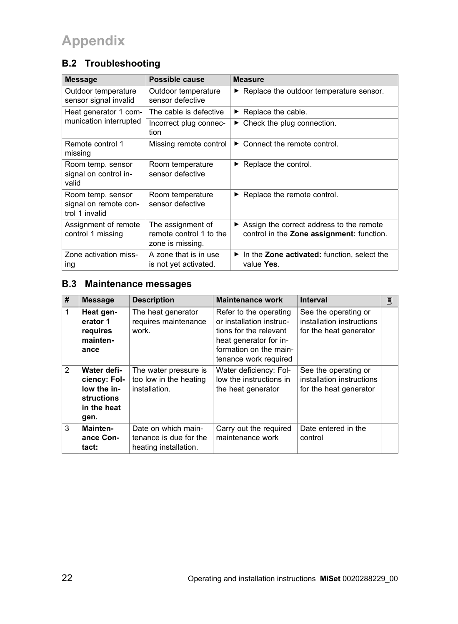# **Appendix**

### **B.2 Troubleshooting**

| <b>Message</b>                                               | Possible cause                                                   | <b>Measure</b>                                                                                         |
|--------------------------------------------------------------|------------------------------------------------------------------|--------------------------------------------------------------------------------------------------------|
| Outdoor temperature<br>sensor signal invalid                 | Outdoor temperature<br>sensor defective                          | ► Replace the outdoor temperature sensor.                                                              |
| Heat generator 1 com-                                        | The cable is defective                                           | $\triangleright$ Replace the cable.                                                                    |
| munication interrupted                                       | Incorrect plug connec-<br>tion                                   | $\blacktriangleright$ Check the plug connection.                                                       |
| Remote control 1<br>missing                                  | Missing remote control                                           | $\triangleright$ Connect the remote control.                                                           |
| Room temp. sensor<br>signal on control in-<br>valid          | Room temperature<br>sensor defective                             | $\triangleright$ Replace the control.                                                                  |
| Room temp. sensor<br>signal on remote con-<br>trol 1 invalid | Room temperature<br>sensor defective                             | $\blacktriangleright$ Replace the remote control.                                                      |
| Assignment of remote<br>control 1 missing                    | The assignment of<br>remote control 1 to the<br>zone is missing. | $\triangleright$ Assign the correct address to the remote<br>control in the Zone assignment: function. |
| Zone activation miss-<br>ing                                 | A zone that is in use<br>is not yet activated.                   | $\blacktriangleright$ In the Zone activated: function, select the<br>value Yes.                        |

#### **B.3 Maintenance messages**

| #             | <b>Message</b>                                                                         | <b>Description</b>                                                     | <b>Maintenance work</b>                                                                                                                                   | <b>Interval</b>                                                             | j |
|---------------|----------------------------------------------------------------------------------------|------------------------------------------------------------------------|-----------------------------------------------------------------------------------------------------------------------------------------------------------|-----------------------------------------------------------------------------|---|
| $\mathbf{1}$  | Heat gen-<br>erator 1<br>requires<br>mainten-<br>ance                                  | The heat generator<br>requires maintenance<br>work.                    | Refer to the operating<br>or installation instruc-<br>tions for the relevant<br>heat generator for in-<br>formation on the main-<br>tenance work required | See the operating or<br>installation instructions<br>for the heat generator |   |
| $\mathcal{P}$ | Water defi-<br>ciency: Fol-<br>low the in-<br><b>structions</b><br>in the heat<br>gen. | The water pressure is<br>too low in the heating<br>installation.       | Water deficiency: Fol-<br>low the instructions in<br>the heat generator                                                                                   | See the operating or<br>installation instructions<br>for the heat generator |   |
| 3             | Mainten-<br>ance Con-<br>tact:                                                         | Date on which main-<br>tenance is due for the<br>heating installation. | Carry out the required<br>maintenance work                                                                                                                | Date entered in the<br>control                                              |   |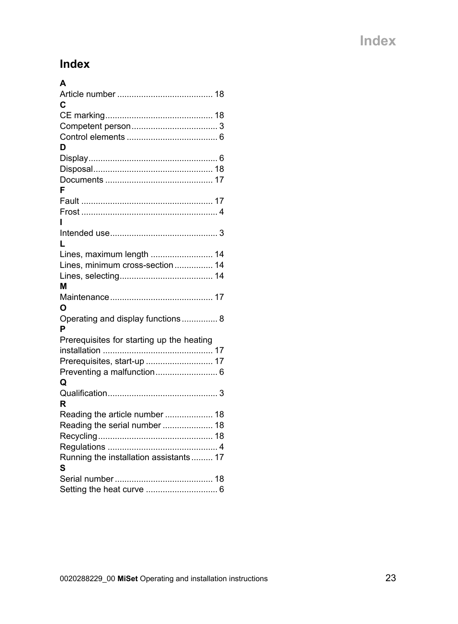# **Index**

| A                                         |
|-------------------------------------------|
|                                           |
| С                                         |
|                                           |
|                                           |
|                                           |
| D                                         |
|                                           |
|                                           |
|                                           |
| F                                         |
|                                           |
|                                           |
|                                           |
|                                           |
| L                                         |
| Lines, maximum length  14                 |
| Lines, minimum cross-section  14          |
|                                           |
| М                                         |
|                                           |
| ი                                         |
| Operating and display functions 8         |
| P                                         |
| Prerequisites for starting up the heating |
|                                           |
| Prerequisites, start-up  17               |
| Preventing a malfunction 6                |
| Q                                         |
| R                                         |
| Reading the article number  18            |
| Reading the serial number  18             |
|                                           |
|                                           |
| Running the installation assistants 17    |
| s                                         |
|                                           |
|                                           |
| Setting the heat curve  6                 |